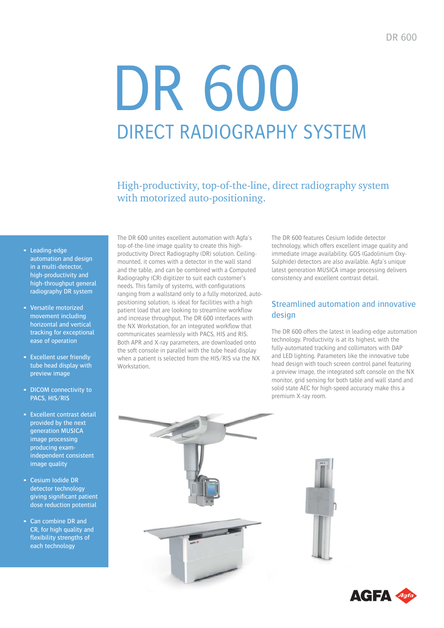# DR 600 DIRECT RADIOGRAPHY SYSTEM

High-productivity, top-of-the-line, direct radiography system with motorized auto-positioning.

- **Leading-edge** automation and design in a multi-detector, high-productivity and high-throughput general radiography DR system
- Versatile motorized movement including horizontal and vertical tracking for exceptional ease of operation
- **Excellent user friendly** tube head display with preview image
- DICOM connectivity to PACS, HIS/RIS
- **Excellent contrast detail** provided by the next generation MUSICA image processing producing examindependent consistent image quality
- **Cesium Iodide DR** detector technology giving significant patient dose reduction potential
- Can combine DR and CR, for high quality and flexibility strengths of each technology

The DR 600 unites excellent automation with Agfa's top-of-the-line image quality to create this highproductivity Direct Radiography (DR) solution. Ceilingmounted, it comes with a detector in the wall stand and the table, and can be combined with a Computed Radiography (CR) digitizer to suit each customer's needs. This family of systems, with configurations ranging from a wallstand only to a fully motorized, autopositioning solution, is ideal for facilities with a high patient load that are looking to streamline workflow and increase throughput. The DR 600 interfaces with the NX Workstation, for an integrated workflow that communicates seamlessly with PACS, HIS and RIS. Both APR and X-ray parameters, are downloaded onto the soft console in parallel with the tube head display when a patient is selected from the HIS/RIS via the NX Workstation,

The DR 600 features Cesium Iodide detector technology, which offers excellent image quality and immediate image availability. GOS (Gadolinium Oxy-Sulphide) detectors are also available. Agfa's unique latest generation MUSICA image processing delivers consistency and excellent contrast detail.

#### Streamlined automation and innovative design

The DR 600 offers the latest in leading-edge automation technology. Productivity is at its highest, with the fully-automated tracking and collimators with DAP and LED lighting. Parameters like the innovative tube head design with touch screen control panel featuring a preview image, the integrated soft console on the NX monitor, grid sensing for both table and wall stand and solid state AEC for high-speed accuracy make this a premium X-ray room.





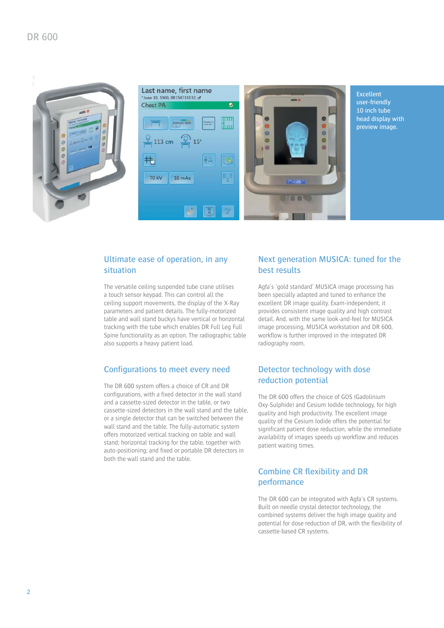



Excellent user-friendly 10 inch tube head display with preview image.

#### Ultimate ease of operation, in any situation

The versatile ceiling suspended tube crane utilises a touch sensor keypad. This can control all the ceiling support movements, the display of the X-Ray parameters and patient details. The fully-motorized table and wall stand buckys have vertical or horizontal tracking with the tube which enables DR Full Leg Full Spine functionality as an option. The radiographic table also supports a heavy patient load.

#### Configurations to meet every need

The DR 600 system offers a choice of CR and DR configurations, with a fixed detector in the wall stand and a cassette-sized detector in the table, or two cassette-sized detectors in the wall stand and the table, or a single detector that can be switched between the wall stand and the table. The fully-automatic system offers motorized vertical tracking on table and wall stand; horizontal tracking for the table, together with auto-positioning; and fixed or portable DR detectors in both the wall stand and the table.

#### Next generation MUSICA: tuned for the best results

 $\theta$ 

ö

 $\epsilon$ 

Agfa's 'gold standard' MUSICA image processing has been specially adapted and tuned to enhance the excellent DR image quality. Exam-independent, it provides consistent image quality and high contrast detail. And, with the same look-and-feel for MUSICA image processing, MUSICA workstation and DR 600, workflow is further improved in the integrated DR radiography room.

#### Detector technology with dose reduction potential

The DR 600 offers the choice of GOS (Gadolinium Oxy-Sulphide) and Cesium Iodide technology, for high quality and high productivity. The excellent image quality of the Cesium Iodide offers the potential for significant patient dose reduction, while the immediate availability of images speeds up workflow and reduces patient waiting times.

#### Combine CR flexibility and DR performance

The DR 600 can be integrated with Agfa's CR systems. Built on needle crystal detector technology, the combined systems deliver the high image quality and potential for dose reduction of DR, with the flexibility of cassette-based CR systems.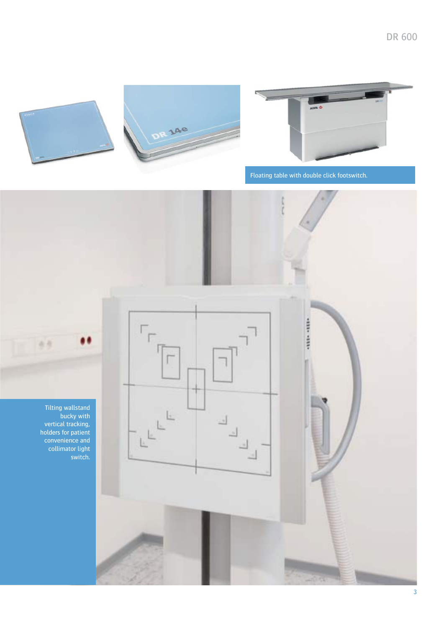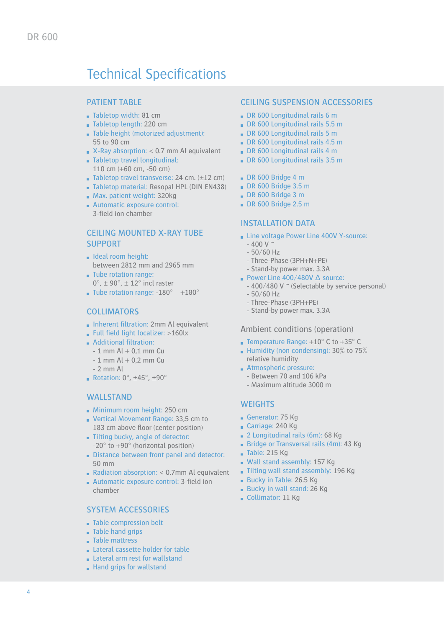## **Technical Specifications**

#### PATIENT TABLE

- $\blacksquare$  Tabletop width: 81 cm
- Tabletop length: 220 cm
- Table height (motorized adjustment): 55 to 90 cm
- $\blacksquare$  X-Ray absorption: < 0.7 mm Al equivalent
- Tabletop travel longitudinal: 110 cm (+60 cm, -50 cm)
- Tabletop travel transverse: 24 cm.  $(\pm 12 \text{ cm})$
- Tabletop material: Resopal HPL (DIN EN438)
- **Max. patient weight: 320kg**
- Automatic exposure control:
	- 3-field ion chamber

#### CEILING MOUNTED X-RAY TUBE SUPPORT

- Ideal room height: between 2812 mm and 2965 mm
- Tube rotation range:  $0^\circ$ ,  $\pm$  90 $^\circ$ ,  $\pm$  12 $^\circ$  incl raster
- **Tube rotation range: -180°** +180°

#### **COLLIMATORS**

- **Inherent filtration: 2mm Al equivalent**
- $\blacksquare$  Full field light localizer: >160lx
- $\blacksquare$  Additional filtration:
	- $-1$  mm Al  $+$  0,1 mm Cu
	- $-1$  mm Al  $+$  0,2 mm Cu
	- 2 mm Al
- Rotation:  $0^\circ$ ,  $\pm 45^\circ$ ,  $\pm 90^\circ$

#### WALLSTAND

- **Minimum room height: 250 cm**
- Vertical Movement Range: 33,5 cm to 183 cm above floor (center position)
- Tilting bucky, angle of detector: -20° to +90° (horizontal position)
- Distance between front panel and detector: 50 mm
- Radiation absorption:  $<$  0.7mm Al equivalent
- $\blacksquare$  Automatic exposure control: 3-field ion chamber

#### SYSTEM ACCESSORIES

- Table compression belt
- Table hand grips
- **Table mattress**
- Lateral cassette holder for table

#### Lateral arm rest for wallstand

Hand grips for wallstand

#### CEILING SUSPENSION ACCESSORIES

- DR 600 Longitudinal rails 6 m
- DR 600 Longitudinal rails 5.5 m
- DR 600 Longitudinal rails 5 m
- DR 600 Longitudinal rails 4.5 m
- DR 600 Longitudinal rails 4 m
- DR 600 Longitudinal rails 3.5 m
- DR 600 Bridge 4 m
- DR 600 Bridge 3.5 m
- DR 600 Bridge 3 m
- DR 600 Bridge 2.5 m

#### INSTALLATION DATA

- **Line voltage Power Line 400V Y-source:** 
	- $-400$  V  $\degree$
	- 50/60 Hz
	- Three-Phase (3PH+N+PE)
	- Stand-by power max. 3.3A
- Power Line  $400/480V \triangle$  source:
	- 400/480 V  $\degree$  (Selectable by service personal)
	- 50/60 Hz
	- Three-Phase (3PH+PE)
	- Stand-by power max. 3.3A

#### Ambient conditions (operation)

- **Temperature Range: +10° C to +35° C**
- Humidity (non condensing): 30% to 75% relative humidity
- Atmospheric pressure:
	- Between 70 and 106 kPa
	- Maximum altitude 3000 m

#### **WEIGHTS**

- Generator: 75 Kg
- Carriage: 240 Kg
- 2 Longitudinal rails (6m): 68 Kg
- Bridge or Transversal rails (4m): 43 Kg
- $\blacksquare$  Table: 215 Kg
- Wall stand assembly: 157 Kg
- Tilting wall stand assembly: 196 Kg
- Bucky in Table: 26.5 Kg
- Bucky in wall stand: 26 Kg
- Collimator: 11 Kg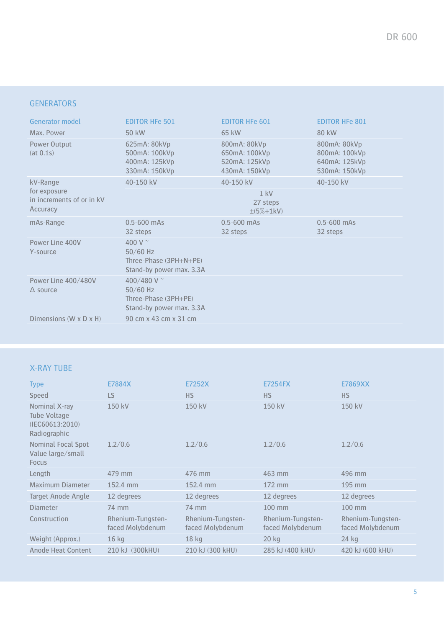#### **GENERATORS**

| <b>Generator model</b>                                            | <b>EDITOR HFe 501</b>                                                            | <b>EDITOR HFe 601</b>                                           | <b>EDITOR HFe 801</b>                                           |
|-------------------------------------------------------------------|----------------------------------------------------------------------------------|-----------------------------------------------------------------|-----------------------------------------------------------------|
| Max. Power                                                        | 50 kW                                                                            | 65 kW                                                           | 80 kW                                                           |
| Power Output<br>(at 0.1s)                                         | 625mA: 80kVp<br>500mA: 100kVp<br>400mA: 125kVp<br>330mA: 150kVp                  | 800mA: 80kVp<br>650mA: 100kVp<br>520mA: 125kVp<br>430mA: 150kVp | 800mA: 80kVp<br>800mA: 100kVp<br>640mA: 125kVp<br>530mA: 150kVp |
| kV-Range<br>for exposure<br>in increments of or in kV<br>Accuracy | 40-150 kV                                                                        | 40-150 kV                                                       | 40-150 kV                                                       |
|                                                                   | $1$ kV<br>27 steps<br>$±(5%+1kV)$                                                |                                                                 |                                                                 |
| mAs-Range                                                         | $0.5 - 600$ mAs<br>32 steps                                                      | $0.5 - 600$ mAs<br>32 steps                                     | $0.5 - 600$ mAs<br>32 steps                                     |
| Power Line 400V<br>Y-source                                       | 400 V $\sim$<br>$50/60$ Hz<br>Three-Phase (3PH+N+PE)<br>Stand-by power max. 3.3A |                                                                 |                                                                 |
| Power Line 400/480V<br>$\triangle$ source                         | 400/480 V ~<br>$50/60$ Hz<br>Three-Phase (3PH+PE)<br>Stand-by power max. 3.3A    |                                                                 |                                                                 |
| Dimensions $(W \times D \times H)$                                | 90 cm x 43 cm x 31 cm                                                            |                                                                 |                                                                 |

### X-RAY TUBE

| <b>Type</b>                                                      | E7884X                                | E7252X                                | <b>E7254FX</b>                        | E7869XX                               |
|------------------------------------------------------------------|---------------------------------------|---------------------------------------|---------------------------------------|---------------------------------------|
| <b>Speed</b>                                                     | LS                                    | <b>HS</b>                             | <b>HS</b>                             | <b>HS</b>                             |
| Nominal X-ray<br>Tube Voltage<br>(IEC60613:2010)<br>Radiographic | 150 kV                                | 150 kV                                | 150 kV                                | 150 kV                                |
| <b>Nominal Focal Spot</b><br>Value large/small<br><b>Focus</b>   | 1.2/0.6                               | 1.2/0.6                               | 1.2/0.6                               | 1.2/0.6                               |
| Length                                                           | 479 mm                                | 476 mm                                | 463 mm                                | 496 mm                                |
| Maximum Diameter                                                 | 152.4 mm                              | 152.4 mm                              | 172 mm                                | $195$ mm                              |
| Target Anode Angle                                               | 12 degrees                            | 12 degrees                            | 12 degrees                            | 12 degrees                            |
| <b>Diameter</b>                                                  | 74 mm                                 | 74 mm                                 | 100 mm                                | 100 mm                                |
| Construction                                                     | Rhenium-Tungsten-<br>faced Molybdenum | Rhenium-Tungsten-<br>faced Molybdenum | Rhenium-Tungsten-<br>faced Molybdenum | Rhenium-Tungsten-<br>faced Molybdenum |
| Weight (Approx.)                                                 | $16$ kg                               | $18$ kg                               | $20$ kg                               | $24$ kg                               |
| Anode Heat Content                                               | 210 kJ (300kHU)                       | 210 kJ (300 kHU)                      | 285 kJ (400 kHU)                      | 420 kJ (600 kHU)                      |